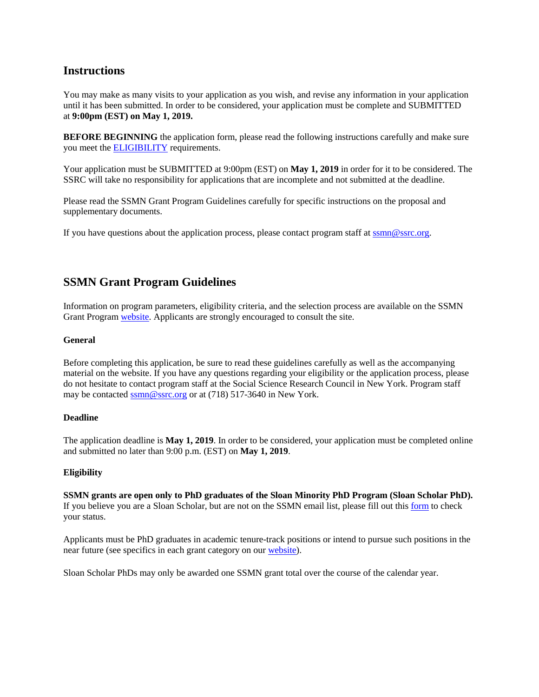# **Instructions**

You may make as many visits to your application as you wish, and revise any information in your application until it has been submitted. In order to be considered, your application must be complete and SUBMITTED at **9:00pm (EST) on May 1, 2019.**

**BEFORE BEGINNING** the application form, please read the following instructions carefully and make sure you meet the [ELIGIBILITY](http://sloan-scholars.ssrc.org/resources/grants) requirements.

Your application must be SUBMITTED at 9:00pm (EST) on **May 1, 2019** in order for it to be considered. The SSRC will take no responsibility for applications that are incomplete and not submitted at the deadline.

Please read the SSMN Grant Program Guidelines carefully for specific instructions on the proposal and supplementary documents.

If you have questions about the application process, please contact program staff at [ssmn@ssrc.org.](mailto:ssmn@ssrc.org)

# **SSMN Grant Program Guidelines**

Information on program parameters, eligibility criteria, and the selection process are available on the SSMN Grant Program [website.](http://www.sloan-scholars.ssrc.org/resources/grants) Applicants are strongly encouraged to consult the site.

#### **General**

Before completing this application, be sure to read these guidelines carefully as well as the accompanying material on the website. If you have any questions regarding your eligibility or the application process, please do not hesitate to contact program staff at the Social Science Research Council in New York. Program staff may be contacted [ssmn@ssrc.org](mailto:ssmn@ssrc.org) or at (718) 517-3640 in New York.

# **Deadline**

The application deadline is **May 1, 2019**. In order to be considered, your application must be completed online and submitted no later than 9:00 p.m. (EST) on **May 1, 2019**.

#### **Eligibility**

**SSMN grants are open only to PhD graduates of the Sloan Minority PhD Program (Sloan Scholar PhD).** If you believe you are a Sloan Scholar, but are not on the SSMN email list, please fill out this [form](http://sloan-scholars.ssrc.org/request-access/) to check your status.

Applicants must be PhD graduates in academic tenure-track positions or intend to pursue such positions in the near future (see specifics in each grant category on ou[r website\)](http://www.sloan-scholars.ssrc.org/resources/grants).

Sloan Scholar PhDs may only be awarded one SSMN grant total over the course of the calendar year.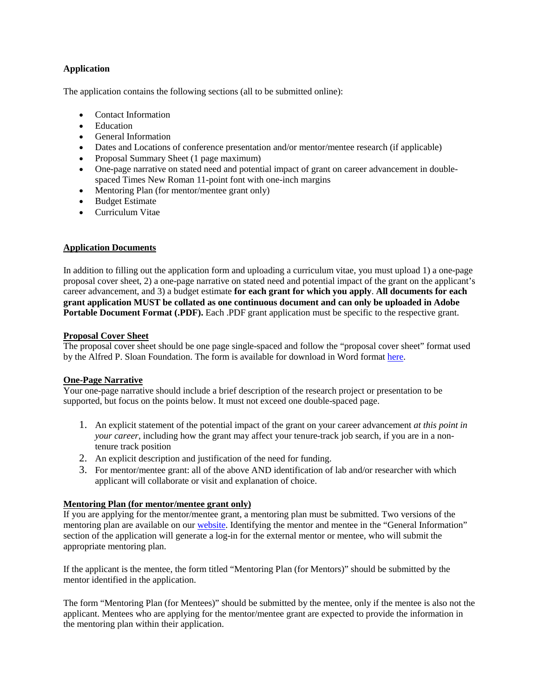# **Application**

The application contains the following sections (all to be submitted online):

- Contact Information
- **Education**
- General Information
- Dates and Locations of conference presentation and/or mentor/mentee research (if applicable)
- Proposal Summary Sheet (1 page maximum)
- One-page narrative on stated need and potential impact of grant on career advancement in doublespaced Times New Roman 11-point font with one-inch margins
- Mentoring Plan (for mentor/mentee grant only)
- Budget Estimate
- Curriculum Vitae

# **Application Documents**

In addition to filling out the application form and uploading a curriculum vitae, you must upload 1) a one-page proposal cover sheet, 2) a one-page narrative on stated need and potential impact of the grant on the applicant's career advancement, and 3) a budget estimate **for each grant for which you apply**. **All documents for each grant application MUST be collated as one continuous document and can only be uploaded in Adobe Portable Document Format (.PDF).** Each .PDF grant application must be specific to the respective grant.

#### **Proposal Cover Sheet**

The proposal cover sheet should be one page single-spaced and follow the "proposal cover sheet" format used by the Alfred P. Sloan Foundation. The form is available for download in Word format [here.](https://www.sloan-scholars.ssrc.org/resources/grants)

# **One-Page Narrative**

Your one-page narrative should include a brief description of the research project or presentation to be supported, but focus on the points below. It must not exceed one double-spaced page.

- 1. An explicit statement of the potential impact of the grant on your career advancement *at this point in your career*, including how the grant may affect your tenure-track job search, if you are in a nontenure track position
- 2. An explicit description and justification of the need for funding.
- 3. For mentor/mentee grant: all of the above AND identification of lab and/or researcher with which applicant will collaborate or visit and explanation of choice.

# **Mentoring Plan (for mentor/mentee grant only)**

If you are applying for the mentor/mentee grant, a mentoring plan must be submitted. Two versions of the mentoring plan are available on our [website.](http://www.sloan-scholars.ssrc.org/resources/grants) Identifying the mentor and mentee in the "General Information" section of the application will generate a log-in for the external mentor or mentee, who will submit the appropriate mentoring plan.

If the applicant is the mentee, the form titled "Mentoring Plan (for Mentors)" should be submitted by the mentor identified in the application.

The form "Mentoring Plan (for Mentees)" should be submitted by the mentee, only if the mentee is also not the applicant. Mentees who are applying for the mentor/mentee grant are expected to provide the information in the mentoring plan within their application.